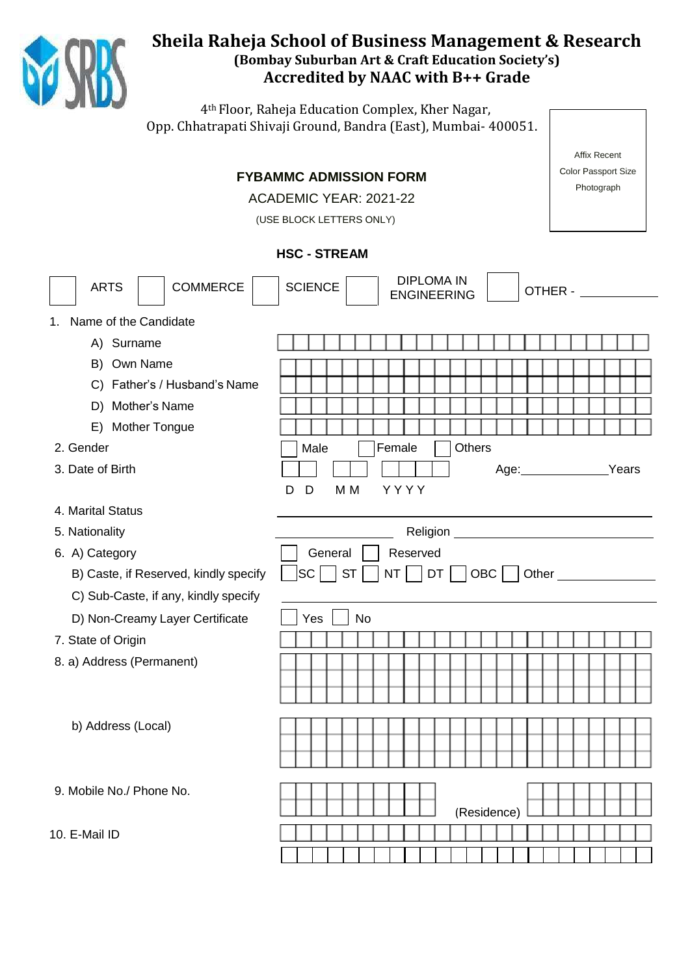

# **Sheila Raheja School of Business Management & Research (Bombay Suburban Art & Craft Education Society's) Accredited by NAAC with B++ Grade**

4th Floor, Raheja Education Complex, Kher Nagar, Opp. Chhatrapati Shivaji Ground, Bandra (East), Mumbai- 400051.

|                                       |                                                           | <b>Affix Recent</b> |  |  |  |  |  |  |  |
|---------------------------------------|-----------------------------------------------------------|---------------------|--|--|--|--|--|--|--|
| <b>FYBAMMC ADMISSION FORM</b>         | <b>Color Passport Size</b>                                |                     |  |  |  |  |  |  |  |
| ACADEMIC YEAR: 2021-22                | Photograph                                                |                     |  |  |  |  |  |  |  |
|                                       | (USE BLOCK LETTERS ONLY)                                  |                     |  |  |  |  |  |  |  |
|                                       |                                                           |                     |  |  |  |  |  |  |  |
|                                       | <b>HSC - STREAM</b>                                       |                     |  |  |  |  |  |  |  |
| <b>COMMERCE</b><br><b>ARTS</b>        | <b>DIPLOMA IN</b><br><b>SCIENCE</b><br><b>ENGINEERING</b> | OTHER -             |  |  |  |  |  |  |  |
| Name of the Candidate<br>1.           |                                                           |                     |  |  |  |  |  |  |  |
| A) Surname                            |                                                           |                     |  |  |  |  |  |  |  |
| B) Own Name                           |                                                           |                     |  |  |  |  |  |  |  |
| C) Father's / Husband's Name          |                                                           |                     |  |  |  |  |  |  |  |
| D) Mother's Name                      |                                                           |                     |  |  |  |  |  |  |  |
| <b>Mother Tongue</b><br>E)            |                                                           |                     |  |  |  |  |  |  |  |
| 2. Gender                             | <b>Others</b><br>Male<br>Female                           |                     |  |  |  |  |  |  |  |
| 3. Date of Birth                      | Age: ______________                                       | Years               |  |  |  |  |  |  |  |
|                                       | M <sub>M</sub><br>YYYY<br>D<br>D                          |                     |  |  |  |  |  |  |  |
| 4. Marital Status                     |                                                           |                     |  |  |  |  |  |  |  |
| 5. Nationality                        |                                                           |                     |  |  |  |  |  |  |  |
| 6. A) Category                        | General<br>Reserved                                       |                     |  |  |  |  |  |  |  |
| B) Caste, if Reserved, kindly specify | $NT \mid  DT \mid$<br> SC <br>$ST$    <br>$OBC$           |                     |  |  |  |  |  |  |  |
| C) Sub-Caste, if any, kindly specify  |                                                           |                     |  |  |  |  |  |  |  |
| D) Non-Creamy Layer Certificate       | Yes<br>No                                                 |                     |  |  |  |  |  |  |  |
| 7. State of Origin                    |                                                           |                     |  |  |  |  |  |  |  |
| 8. a) Address (Permanent)             |                                                           |                     |  |  |  |  |  |  |  |
|                                       |                                                           |                     |  |  |  |  |  |  |  |
|                                       |                                                           |                     |  |  |  |  |  |  |  |
| b) Address (Local)                    |                                                           |                     |  |  |  |  |  |  |  |
|                                       |                                                           |                     |  |  |  |  |  |  |  |
|                                       |                                                           |                     |  |  |  |  |  |  |  |
| 9. Mobile No./ Phone No.              |                                                           |                     |  |  |  |  |  |  |  |
|                                       | (Residence)                                               |                     |  |  |  |  |  |  |  |
| 10. E-Mail ID                         |                                                           |                     |  |  |  |  |  |  |  |
|                                       |                                                           |                     |  |  |  |  |  |  |  |
|                                       |                                                           |                     |  |  |  |  |  |  |  |